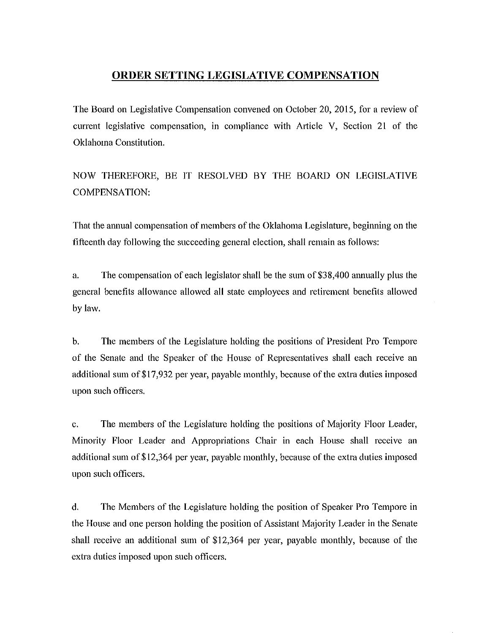## **ORDER SETTING LEGISLATIVE COMPENSATION**

The Board on Legislative Compensation convened on October 20, 2015, for a review of current legislative compensation, in compliance with Article V, Section 21 of the Oklahoma Constitution.

NOW THEREFORE, BE IT RESOLVED BY THE BOARD ON LEGISLATIVE COMPENSATION:

That the annual compensation of members of the Oklahoma Legislature, beginning on the fifteenth day following the succeeding general election, shall remain as follows:

a. The compensation of each legislator shall be the sum of \$38,400 annually plus the general benefits allowance allowed all state employees and retirement benefits allowed by law.

b. The members of the Legislature holding the positions of President Pro Tempore of the Senate and the Speaker of the House of Representatives shall each receive an additional sum of \$17,932 per year, payable monthly, because of the extra duties imposed upon such officers.

c. The members of the Legislature holding the positions of Majority Floor Leader, Minority Floor Leader and Appropriations Chair in each House shall receive an additional sum of\$12,364 per year, payable monthly, because of the extra duties imposed upon such officers.

d. The Members of the Legislature holding the position of Speaker Pro Tempore in the House and one person holding the position of Assistant Majority Leader in the Senate shall receive an additional sum of \$12,364 per year, payable monthly, because of the extra duties imposed upon such officers.